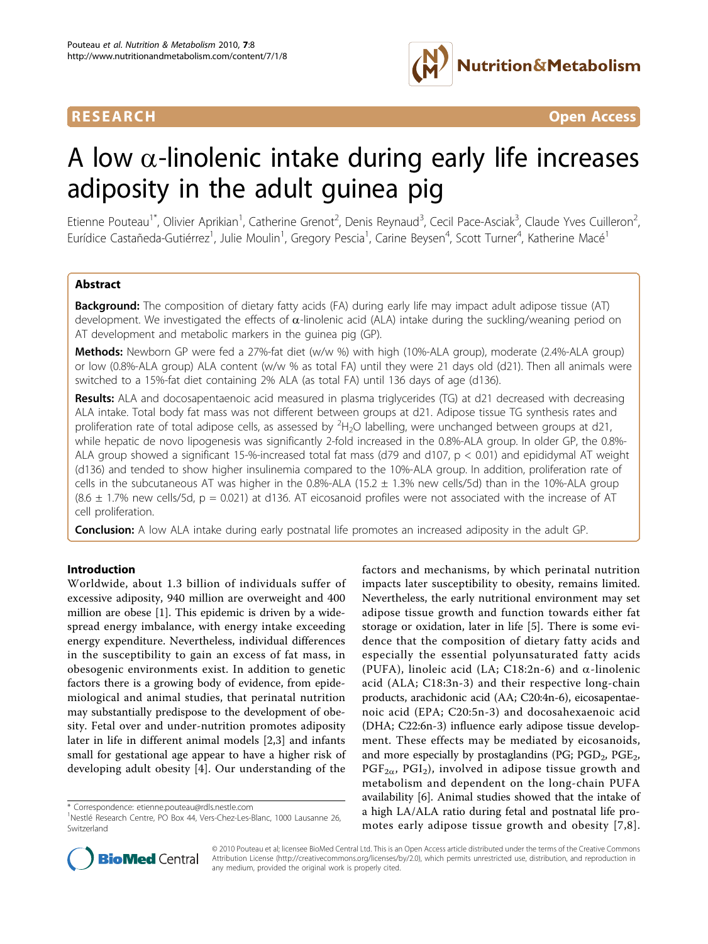

**RESEARCH CONTROL** CONTROL CONTROL CONTROL CONTROL CONTROL CONTROL CONTROL CONTROL CONTROL CONTROL CONTROL CONTROL CONTROL CONTROL CONTROL CONTROL CONTROL CONTROL CONTROL CONTROL CONTROL CONTROL CONTROL CONTROL CONTROL CON

# A low  $\alpha$ -linolenic intake during early life increases adiposity in the adult guinea pig

Etienne Pouteau<sup>1\*</sup>, Olivier Aprikian<sup>1</sup>, Catherine Grenot<sup>2</sup>, Denis Reynaud<sup>3</sup>, Cecil Pace-Asciak<sup>3</sup>, Claude Yves Cuilleron<sup>2</sup> , Eurídice Castañeda-Gutiérrez<sup>1</sup>, Julie Moulin<sup>1</sup>, Gregory Pescia<sup>1</sup>, Carine Beysen<sup>4</sup>, Scott Turner<sup>4</sup>, Katherine Macé<sup>1</sup>

#### Abstract

Background: The composition of dietary fatty acids (FA) during early life may impact adult adipose tissue (AT) development. We investigated the effects of  $\alpha$ -linolenic acid (ALA) intake during the suckling/weaning period on AT development and metabolic markers in the guinea pig (GP).

Methods: Newborn GP were fed a 27%-fat diet (w/w %) with high (10%-ALA group), moderate (2.4%-ALA group) or low (0.8%-ALA group) ALA content (w/w % as total FA) until they were 21 days old (d21). Then all animals were switched to a 15%-fat diet containing 2% ALA (as total FA) until 136 days of age (d136).

Results: ALA and docosapentaenoic acid measured in plasma triglycerides (TG) at d21 decreased with decreasing ALA intake. Total body fat mass was not different between groups at d21. Adipose tissue TG synthesis rates and proliferation rate of total adipose cells, as assessed by  ${}^{2}H_{2}O$  labelling, were unchanged between groups at d21, while hepatic de novo lipogenesis was significantly 2-fold increased in the 0.8%-ALA group. In older GP, the 0.8%- ALA group showed a significant 15-%-increased total fat mass (d79 and d107, p < 0.01) and epididymal AT weight (d136) and tended to show higher insulinemia compared to the 10%-ALA group. In addition, proliferation rate of cells in the subcutaneous AT was higher in the 0.8%-ALA (15.2  $\pm$  1.3% new cells/5d) than in the 10%-ALA group  $(8.6 \pm 1.7\%$  new cells/5d, p = 0.021) at d136. AT eicosanoid profiles were not associated with the increase of AT cell proliferation.

**Conclusion:** A low ALA intake during early postnatal life promotes an increased adiposity in the adult GP.

#### Introduction

Worldwide, about 1.3 billion of individuals suffer of excessive adiposity, 940 million are overweight and 400 million are obese [[1\]](#page-7-0). This epidemic is driven by a widespread energy imbalance, with energy intake exceeding energy expenditure. Nevertheless, individual differences in the susceptibility to gain an excess of fat mass, in obesogenic environments exist. In addition to genetic factors there is a growing body of evidence, from epidemiological and animal studies, that perinatal nutrition may substantially predispose to the development of obesity. Fetal over and under-nutrition promotes adiposity later in life in different animal models [[2,3\]](#page-7-0) and infants small for gestational age appear to have a higher risk of developing adult obesity [[4\]](#page-7-0). Our understanding of the

factors and mechanisms, by which perinatal nutrition impacts later susceptibility to obesity, remains limited. Nevertheless, the early nutritional environment may set adipose tissue growth and function towards either fat storage or oxidation, later in life [[5\]](#page-7-0). There is some evidence that the composition of dietary fatty acids and especially the essential polyunsaturated fatty acids (PUFA), linoleic acid (LA; C18:2n-6) and  $\alpha$ -linolenic acid (ALA; C18:3n-3) and their respective long-chain products, arachidonic acid (AA; C20:4n-6), eicosapentaenoic acid (EPA; C20:5n-3) and docosahexaenoic acid (DHA; C22:6n-3) influence early adipose tissue development. These effects may be mediated by eicosanoids, and more especially by prostaglandins (PG;  $PGD_2$ ,  $PGE_2$ ,  $PGF_{2\alpha}$ ,  $PGI_2$ ), involved in adipose tissue growth and metabolism and dependent on the long-chain PUFA availability [\[6](#page-7-0)]. Animal studies showed that the intake of a high LA/ALA ratio during fetal and postnatal life promotes early adipose tissue growth and obesity [[7](#page-7-0),[8\]](#page-7-0).



© 2010 Pouteau et al; licensee BioMed Central Ltd. This is an Open Access article distributed under the terms of the Creative Commons Attribution License [\(http://creativecommons.org/licenses/by/2.0](http://creativecommons.org/licenses/by/2.0)), which permits unrestricted use, distribution, and reproduction in any medium, provided the original work is properly cited.

<sup>\*</sup> Correspondence: [etienne.pouteau@rdls.nestle.com](mailto:etienne.pouteau@rdls.nestle.com)

<sup>&</sup>lt;sup>1</sup>Nestlé Research Centre, PO Box 44, Vers-Chez-Les-Blanc, 1000 Lausanne 26, Switzerland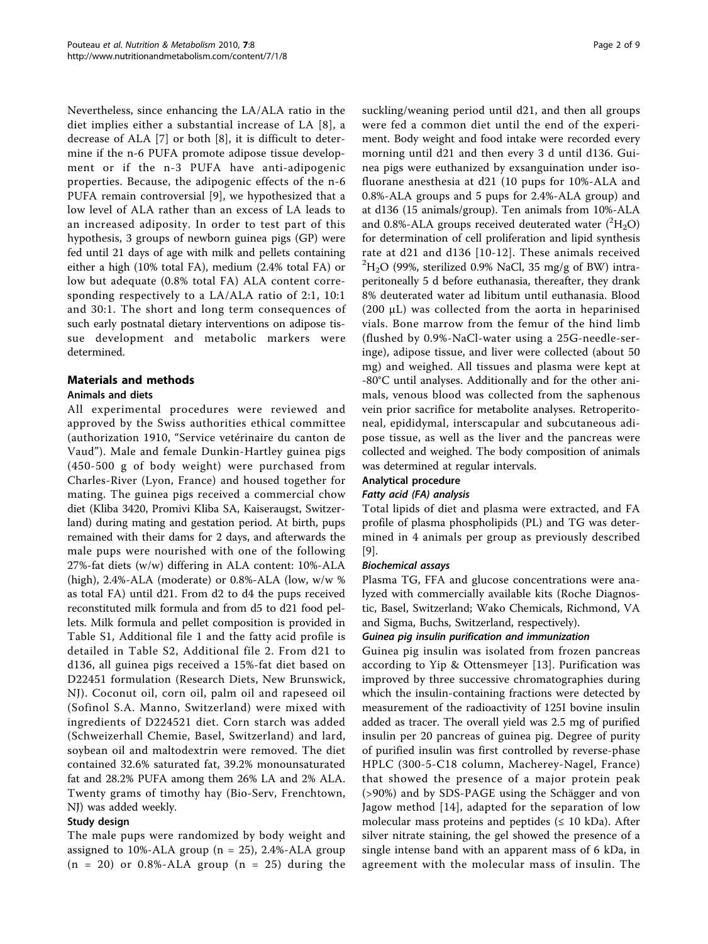Nevertheless, since enhancing the LA/ALA ratio in the diet implies either a substantial increase of LA [\[8\]](#page-7-0), a decrease of ALA [[7\]](#page-7-0) or both [[8](#page-7-0)], it is difficult to determine if the n-6 PUFA promote adipose tissue development or if the n-3 PUFA have anti-adipogenic properties. Because, the adipogenic effects of the n-6 PUFA remain controversial [\[9](#page-7-0)], we hypothesized that a low level of ALA rather than an excess of LA leads to an increased adiposity. In order to test part of this hypothesis, 3 groups of newborn guinea pigs (GP) were fed until 21 days of age with milk and pellets containing either a high (10% total FA), medium (2.4% total FA) or low but adequate (0.8% total FA) ALA content corresponding respectively to a LA/ALA ratio of 2:1, 10:1 and 30:1. The short and long term consequences of such early postnatal dietary interventions on adipose tissue development and metabolic markers were determined.

## Materials and methods

#### Animals and diets

All experimental procedures were reviewed and approved by the Swiss authorities ethical committee (authorization 1910, "Service vetérinaire du canton de Vaud"). Male and female Dunkin-Hartley guinea pigs (450-500 g of body weight) were purchased from Charles-River (Lyon, France) and housed together for mating. The guinea pigs received a commercial chow diet (Kliba 3420, Promivi Kliba SA, Kaiseraugst, Switzerland) during mating and gestation period. At birth, pups remained with their dams for 2 days, and afterwards the male pups were nourished with one of the following 27%-fat diets (w/w) differing in ALA content: 10%-ALA (high), 2.4%-ALA (moderate) or 0.8%-ALA (low, w/w % as total FA) until d21. From d2 to d4 the pups received reconstituted milk formula and from d5 to d21 food pellets. Milk formula and pellet composition is provided in Table S1, Additional file [1](#page-7-0) and the fatty acid profile is detailed in Table S2, Additional file [2](#page-7-0). From d21 to d136, all guinea pigs received a 15%-fat diet based on D22451 formulation (Research Diets, New Brunswick, NJ). Coconut oil, corn oil, palm oil and rapeseed oil (Sofinol S.A. Manno, Switzerland) were mixed with ingredients of D224521 diet. Corn starch was added (Schweizerhall Chemie, Basel, Switzerland) and lard, soybean oil and maltodextrin were removed. The diet contained 32.6% saturated fat, 39.2% monounsaturated fat and 28.2% PUFA among them 26% LA and 2% ALA. Twenty grams of timothy hay (Bio-Serv, Frenchtown, NJ) was added weekly.

#### Study design

The male pups were randomized by body weight and assigned to 10%-ALA group ( $n = 25$ ), 2.4%-ALA group  $(n = 20)$  or 0.8%-ALA group  $(n = 25)$  during the suckling/weaning period until d21, and then all groups were fed a common diet until the end of the experiment. Body weight and food intake were recorded every morning until d21 and then every 3 d until d136. Guinea pigs were euthanized by exsanguination under isofluorane anesthesia at d21 (10 pups for 10%-ALA and 0.8%-ALA groups and 5 pups for 2.4%-ALA group) and at d136 (15 animals/group). Ten animals from 10%-ALA and 0.8%-ALA groups received deuterated water  $(^{2}H_{2}O)$ for determination of cell proliferation and lipid synthesis rate at d21 and d136 [\[10-12\]](#page-7-0). These animals received  $^{2}H_{2}O$  (99%, sterilized 0.9% NaCl, 35 mg/g of BW) intraperitoneally 5 d before euthanasia, thereafter, they drank 8% deuterated water ad libitum until euthanasia. Blood (200 μL) was collected from the aorta in heparinised vials. Bone marrow from the femur of the hind limb (flushed by 0.9%-NaCl-water using a 25G-needle-seringe), adipose tissue, and liver were collected (about 50 mg) and weighed. All tissues and plasma were kept at -80°C until analyses. Additionally and for the other animals, venous blood was collected from the saphenous vein prior sacrifice for metabolite analyses. Retroperitoneal, epididymal, interscapular and subcutaneous adipose tissue, as well as the liver and the pancreas were collected and weighed. The body composition of animals was determined at regular intervals.

#### Analytical procedure

#### Fatty acid (FA) analysis

Total lipids of diet and plasma were extracted, and FA profile of plasma phospholipids (PL) and TG was determined in 4 animals per group as previously described [[9\]](#page-7-0).

#### Biochemical assays

Plasma TG, FFA and glucose concentrations were analyzed with commercially available kits (Roche Diagnostic, Basel, Switzerland; Wako Chemicals, Richmond, VA and Sigma, Buchs, Switzerland, respectively).

#### Guinea pig insulin purification and immunization

Guinea pig insulin was isolated from frozen pancreas according to Yip & Ottensmeyer [\[13](#page-8-0)]. Purification was improved by three successive chromatographies during which the insulin-containing fractions were detected by measurement of the radioactivity of 125I bovine insulin added as tracer. The overall yield was 2.5 mg of purified insulin per 20 pancreas of guinea pig. Degree of purity of purified insulin was first controlled by reverse-phase HPLC (300-5-C18 column, Macherey-Nagel, France) that showed the presence of a major protein peak (>90%) and by SDS-PAGE using the Schägger and von Jagow method [\[14\]](#page-8-0), adapted for the separation of low molecular mass proteins and peptides ( $\leq 10$  kDa). After silver nitrate staining, the gel showed the presence of a single intense band with an apparent mass of 6 kDa, in agreement with the molecular mass of insulin. The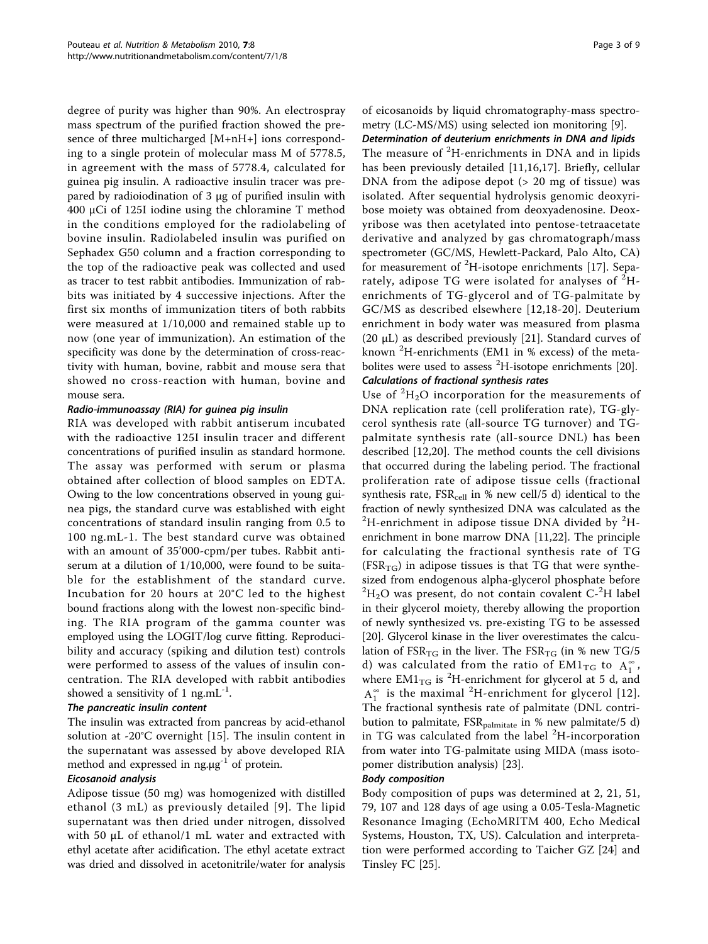degree of purity was higher than 90%. An electrospray mass spectrum of the purified fraction showed the presence of three multicharged [M+nH+] ions corresponding to a single protein of molecular mass M of 5778.5, in agreement with the mass of 5778.4, calculated for guinea pig insulin. A radioactive insulin tracer was prepared by radioiodination of 3 μg of purified insulin with 400 μCi of 125I iodine using the chloramine T method in the conditions employed for the radiolabeling of bovine insulin. Radiolabeled insulin was purified on Sephadex G50 column and a fraction corresponding to the top of the radioactive peak was collected and used as tracer to test rabbit antibodies. Immunization of rabbits was initiated by 4 successive injections. After the first six months of immunization titers of both rabbits were measured at 1/10,000 and remained stable up to now (one year of immunization). An estimation of the specificity was done by the determination of cross-reactivity with human, bovine, rabbit and mouse sera that showed no cross-reaction with human, bovine and mouse sera.

#### Radio-immunoassay (RIA) for guinea pig insulin

RIA was developed with rabbit antiserum incubated with the radioactive 125I insulin tracer and different concentrations of purified insulin as standard hormone. The assay was performed with serum or plasma obtained after collection of blood samples on EDTA. Owing to the low concentrations observed in young guinea pigs, the standard curve was established with eight concentrations of standard insulin ranging from 0.5 to 100 ng.mL-1. The best standard curve was obtained with an amount of 35'000-cpm/per tubes. Rabbit antiserum at a dilution of 1/10,000, were found to be suitable for the establishment of the standard curve. Incubation for 20 hours at 20°C led to the highest bound fractions along with the lowest non-specific binding. The RIA program of the gamma counter was employed using the LOGIT/log curve fitting. Reproducibility and accuracy (spiking and dilution test) controls were performed to assess of the values of insulin concentration. The RIA developed with rabbit antibodies showed a sensitivity of 1 ng.mL $^{-1}$ .

#### The pancreatic insulin content

The insulin was extracted from pancreas by acid-ethanol solution at -20°C overnight [\[15](#page-8-0)]. The insulin content in the supernatant was assessed by above developed RIA method and expressed in  $ng.\mu g^{-1}$  of protein.

#### Eicosanoid analysis

Adipose tissue (50 mg) was homogenized with distilled ethanol (3 mL) as previously detailed [[9](#page-7-0)]. The lipid supernatant was then dried under nitrogen, dissolved with 50 μL of ethanol/1 mL water and extracted with ethyl acetate after acidification. The ethyl acetate extract was dried and dissolved in acetonitrile/water for analysis of eicosanoids by liquid chromatography-mass spectrometry (LC-MS/MS) using selected ion monitoring [\[9](#page-7-0)].

Determination of deuterium enrichments in DNA and lipids The measure of <sup>2</sup>H-enrichments in DNA and in lipids has been previously detailed [\[11](#page-7-0),[16,17\]](#page-8-0). Briefly, cellular DNA from the adipose depot  $(> 20$  mg of tissue) was isolated. After sequential hydrolysis genomic deoxyribose moiety was obtained from deoxyadenosine. Deoxyribose was then acetylated into pentose-tetraacetate derivative and analyzed by gas chromatograph/mass spectrometer (GC/MS, Hewlett-Packard, Palo Alto, CA) for measurement of  ${}^{2}$ H-isotope enrichments [[17\]](#page-8-0). Separately, adipose TG were isolated for analyses of  ${}^{2}$ Henrichments of TG-glycerol and of TG-palmitate by GC/MS as described elsewhere [\[12,](#page-7-0)[18](#page-8-0)-[20](#page-8-0)]. Deuterium enrichment in body water was measured from plasma (20 μL) as described previously [[21\]](#page-8-0). Standard curves of known <sup>2</sup> H-enrichments (EM1 in % excess) of the meta-bolites were used to assess <sup>2</sup>H-isotope enrichments [\[20](#page-8-0)]. Calculations of fractional synthesis rates

Use of  ${}^{2}H_{2}O$  incorporation for the measurements of DNA replication rate (cell proliferation rate), TG-glycerol synthesis rate (all-source TG turnover) and TGpalmitate synthesis rate (all-source DNL) has been described [[12,](#page-7-0)[20](#page-8-0)]. The method counts the cell divisions that occurred during the labeling period. The fractional proliferation rate of adipose tissue cells (fractional synthesis rate,  $FSR_{cell}$  in % new cell/5 d) identical to the fraction of newly synthesized DNA was calculated as the  $^{2}$ H-enrichment in adipose tissue DNA divided by  $^{2}$ Henrichment in bone marrow DNA [[11,](#page-7-0)[22](#page-8-0)]. The principle for calculating the fractional synthesis rate of TG  $(FSR_{TG})$  in adipose tissues is that TG that were synthesized from endogenous alpha-glycerol phosphate before  ${}^{2}H_{2}O$  was present, do not contain covalent C- ${}^{2}H$  label in their glycerol moiety, thereby allowing the proportion of newly synthesized vs. pre-existing TG to be assessed [[20\]](#page-8-0). Glycerol kinase in the liver overestimates the calculation of  $FSR_{TG}$  in the liver. The  $FSR_{TG}$  (in % new TG/5 d) was calculated from the ratio of  $EM1_{TG}$  to  $A_1^{\infty}$ , where  $EM1_{TG}$  is <sup>2</sup>H-enrichment for glycerol at 5 d, and  $A_1^{\infty}$  is the maximal <sup>2</sup>H-enrichment for glycerol [\[12\]](#page-7-0). The fractional synthesis rate of palmitate (DNL contribution to palmitate,  $FSR_{\text{palmitate}}$  in % new palmitate/5 d) in TG was calculated from the label <sup>2</sup> H-incorporation from water into TG-palmitate using MIDA (mass isotopomer distribution analysis) [[23\]](#page-8-0).

#### Body composition

Body composition of pups was determined at 2, 21, 51, 79, 107 and 128 days of age using a 0.05-Tesla-Magnetic Resonance Imaging (EchoMRITM 400, Echo Medical Systems, Houston, TX, US). Calculation and interpretation were performed according to Taicher GZ [[24\]](#page-8-0) and Tinsley FC [[25](#page-8-0)].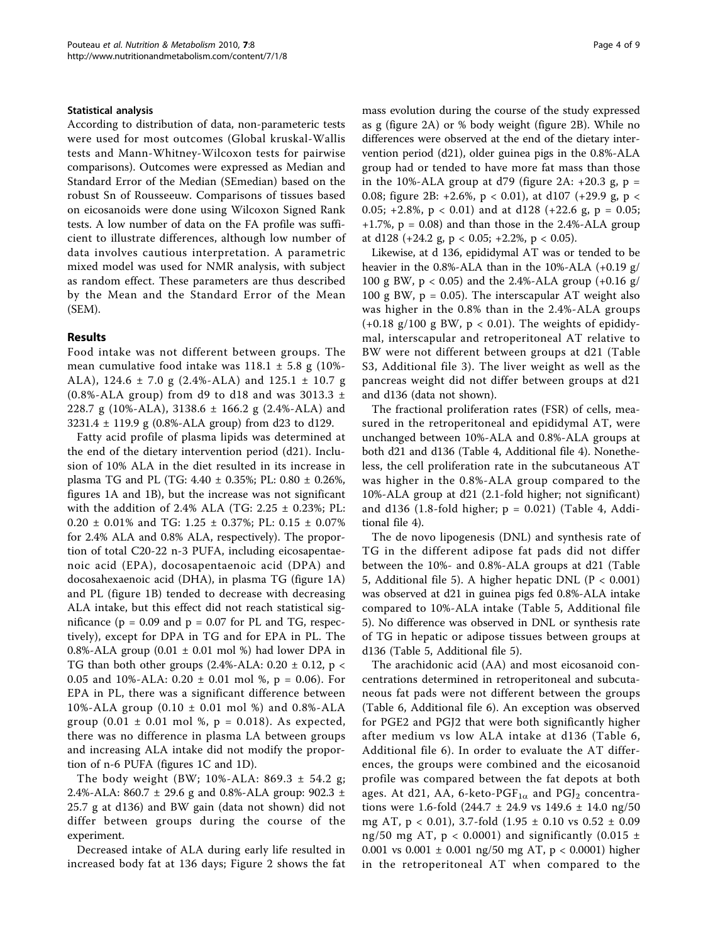#### Statistical analysis

According to distribution of data, non-parameteric tests were used for most outcomes (Global kruskal-Wallis tests and Mann-Whitney-Wilcoxon tests for pairwise comparisons). Outcomes were expressed as Median and Standard Error of the Median (SEmedian) based on the robust Sn of Rousseeuw. Comparisons of tissues based on eicosanoids were done using Wilcoxon Signed Rank tests. A low number of data on the FA profile was sufficient to illustrate differences, although low number of data involves cautious interpretation. A parametric mixed model was used for NMR analysis, with subject as random effect. These parameters are thus described by the Mean and the Standard Error of the Mean (SEM).

#### Results

Food intake was not different between groups. The mean cumulative food intake was  $118.1 \pm 5.8$  g (10%-ALA), 124.6 ± 7.0 g (2.4%-ALA) and 125.1 ± 10.7 g (0.8%-ALA group) from d9 to d18 and was 3013.3  $\pm$ 228.7 g (10%-ALA), 3138.6 ± 166.2 g (2.4%-ALA) and 3231.4 ± 119.9 g (0.8%-ALA group) from d23 to d129.

Fatty acid profile of plasma lipids was determined at the end of the dietary intervention period (d21). Inclusion of 10% ALA in the diet resulted in its increase in plasma TG and PL (TG: 4.40 ± 0.35%; PL: 0.80 ± 0.26%, figures [1A](#page-4-0) and [1B\)](#page-4-0), but the increase was not significant with the addition of 2.4% ALA (TG:  $2.25 \pm 0.23$ %; PL: 0.20 ± 0.01% and TG: 1.25 ± 0.37%; PL: 0.15 ± 0.07% for 2.4% ALA and 0.8% ALA, respectively). The proportion of total C20-22 n-3 PUFA, including eicosapentaenoic acid (EPA), docosapentaenoic acid (DPA) and docosahexaenoic acid (DHA), in plasma TG (figure [1A](#page-4-0)) and PL (figure [1B](#page-4-0)) tended to decrease with decreasing ALA intake, but this effect did not reach statistical significance ( $p = 0.09$  and  $p = 0.07$  for PL and TG, respectively), except for DPA in TG and for EPA in PL. The 0.8%-ALA group  $(0.01 \pm 0.01 \text{ mol}$ %) had lower DPA in TG than both other groups  $(2.4\%$ -ALA:  $0.20 \pm 0.12$ , p < 0.05 and 10%-ALA:  $0.20 \pm 0.01$  mol %, p = 0.06). For EPA in PL, there was a significant difference between 10%-ALA group (0.10 ± 0.01 mol %) and 0.8%-ALA group  $(0.01 \pm 0.01 \text{ mol } \%)$ , p = 0.018). As expected, there was no difference in plasma LA between groups and increasing ALA intake did not modify the proportion of n-6 PUFA (figures [1C](#page-4-0) and [1D\)](#page-4-0).

The body weight (BW; 10%-ALA: 869.3  $\pm$  54.2 g; 2.4%-ALA: 860.7 ± 29.6 g and 0.8%-ALA group: 902.3 ± 25.7 g at d136) and BW gain (data not shown) did not differ between groups during the course of the experiment.

Decreased intake of ALA during early life resulted in increased body fat at 136 days; Figure [2](#page-5-0) shows the fat mass evolution during the course of the study expressed as g (figure [2A\)](#page-5-0) or % body weight (figure [2B\)](#page-5-0). While no differences were observed at the end of the dietary intervention period (d21), older guinea pigs in the 0.8%-ALA group had or tended to have more fat mass than those in the 10%-ALA group at d79 (figure [2A](#page-5-0):  $+20.3$  g, p = 0.08; figure [2B:](#page-5-0)  $+2.6\%$ , p < 0.01), at d107 ( $+29.9$  g, p < 0.05;  $+2.8\%$ ,  $p < 0.01$ ) and at d128 ( $+22.6$  g,  $p = 0.05$ ;  $+1.7\%$ ,  $p = 0.08$ ) and than those in the 2.4%-ALA group at d128 (+24.2 g,  $p < 0.05$ ; +2.2%,  $p < 0.05$ ).

Likewise, at d 136, epididymal AT was or tended to be heavier in the 0.8%-ALA than in the 10%-ALA (+0.19 g/ 100 g BW, p < 0.05) and the 2.4%-ALA group (+0.16 g/ 100 g BW,  $p = 0.05$ ). The interscapular AT weight also was higher in the 0.8% than in the 2.4%-ALA groups  $(+0.18 \text{ g}/100 \text{ g BW}, p < 0.01)$ . The weights of epididymal, interscapular and retroperitoneal AT relative to BW were not different between groups at d21 (Table S3, Additional file [3\)](#page-7-0). The liver weight as well as the pancreas weight did not differ between groups at d21 and d136 (data not shown).

The fractional proliferation rates (FSR) of cells, measured in the retroperitoneal and epididymal AT, were unchanged between 10%-ALA and 0.8%-ALA groups at both d21 and d136 (Table 4, Additional file [4](#page-7-0)). Nonetheless, the cell proliferation rate in the subcutaneous AT was higher in the 0.8%-ALA group compared to the 10%-ALA group at d21 (2.1-fold higher; not significant) and d136 (1.8-fold higher;  $p = 0.021$ ) (Table 4, Additional file [4](#page-7-0)).

The de novo lipogenesis (DNL) and synthesis rate of TG in the different adipose fat pads did not differ between the 10%- and 0.8%-ALA groups at d21 (Table 5, Additional file [5\)](#page-7-0). A higher hepatic DNL ( $P < 0.001$ ) was observed at d21 in guinea pigs fed 0.8%-ALA intake compared to 10%-ALA intake (Table 5, Additional file [5\)](#page-7-0). No difference was observed in DNL or synthesis rate of TG in hepatic or adipose tissues between groups at d136 (Table 5, Additional file [5\)](#page-7-0).

The arachidonic acid (AA) and most eicosanoid concentrations determined in retroperitoneal and subcutaneous fat pads were not different between the groups (Table 6, Additional file [6](#page-7-0)). An exception was observed for PGE2 and PGJ2 that were both significantly higher after medium vs low ALA intake at d136 (Table 6, Additional file [6](#page-7-0)). In order to evaluate the AT differences, the groups were combined and the eicosanoid profile was compared between the fat depots at both ages. At d21, AA, 6-keto-PGF<sub>1 $\alpha$ </sub> and PGJ<sub>2</sub> concentrations were 1.6-fold  $(244.7 \pm 24.9 \text{ vs } 149.6 \pm 14.0 \text{ ng}/50$ mg AT, p < 0.01), 3.7-fold (1.95 ± 0.10 vs 0.52 ± 0.09 ng/50 mg AT,  $p < 0.0001$ ) and significantly (0.015  $\pm$ 0.001 vs 0.001 ± 0.001 ng/50 mg AT, p < 0.0001) higher in the retroperitoneal AT when compared to the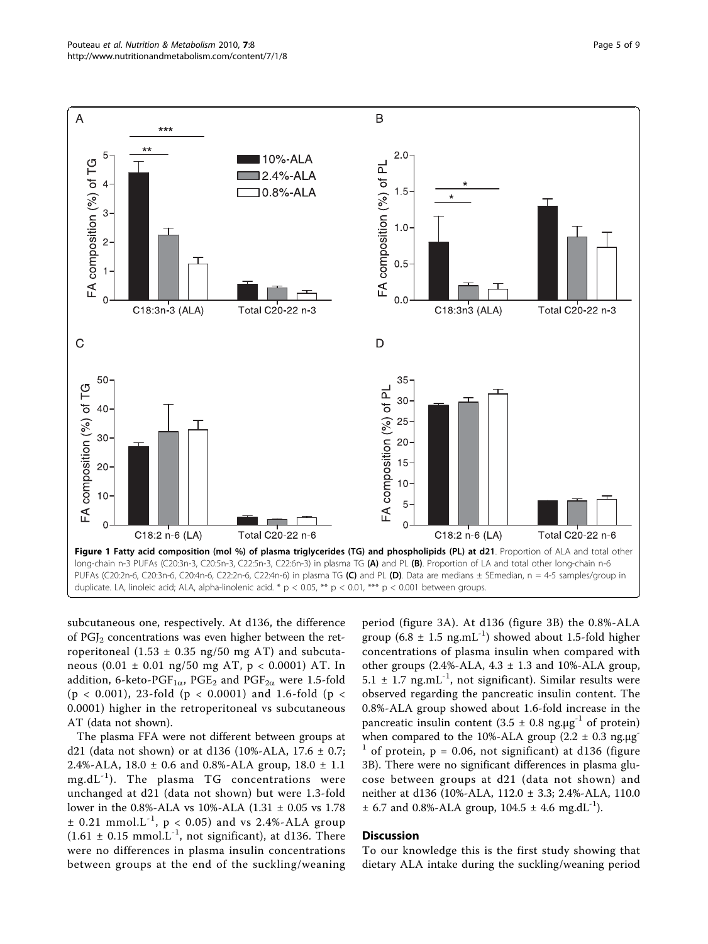<span id="page-4-0"></span>

subcutaneous one, respectively. At d136, the difference of  $PGJ<sub>2</sub>$  concentrations was even higher between the retroperitoneal  $(1.53 \pm 0.35 \text{ ng}/50 \text{ mg AT})$  and subcutaneous  $(0.01 \pm 0.01 \text{ ng}/50 \text{ mg AT}, p < 0.0001)$  AT. In addition, 6-keto-PGF<sub>1 $\alpha$ </sub>, PGE<sub>2</sub> and PGF<sub>2 $\alpha$ </sub> were 1.5-fold (p < 0.001), 23-fold (p < 0.0001) and 1.6-fold (p < 0.0001) higher in the retroperitoneal vs subcutaneous AT (data not shown).

The plasma FFA were not different between groups at d21 (data not shown) or at d136 (10%-ALA, 17.6  $\pm$  0.7; 2.4%-ALA, 18.0 ± 0.6 and 0.8%-ALA group, 18.0 ± 1.1  $mg.dL^{-1}$ ). The plasma TG concentrations were unchanged at d21 (data not shown) but were 1.3-fold lower in the 0.8%-ALA vs 10%-ALA (1.31 ± 0.05 vs 1.78  $\pm$  0.21 mmol.L<sup>-1</sup>, p < 0.05) and vs 2.4%-ALA group  $(1.61 \pm 0.15 \text{ mmol.}L^{-1})$ , not significant), at d136. There were no differences in plasma insulin concentrations between groups at the end of the suckling/weaning

period (figure [3A](#page-5-0)). At d136 (figure [3B](#page-5-0)) the 0.8%-ALA group (6.8  $\pm$  1.5 ng.mL<sup>-1</sup>) showed about 1.5-fold higher concentrations of plasma insulin when compared with other groups  $(2.4\%$ -ALA,  $4.3 \pm 1.3$  and  $10\%$ -ALA group,  $5.1 \pm 1.7$  ng.mL<sup>-1</sup>, not significant). Similar results were observed regarding the pancreatic insulin content. The 0.8%-ALA group showed about 1.6-fold increase in the pancreatic insulin content  $(3.5 \pm 0.8 \text{ ng.}\mu\text{g}^{-1})$  of protein) when compared to the 10%-ALA group  $(2.2 \pm 0.3 \text{ ng.}\mu\text{g}^{-1})$ of protein,  $p = 0.06$ , not significant) at d136 (figure [3B](#page-5-0)). There were no significant differences in plasma glucose between groups at d21 (data not shown) and neither at d136 (10%-ALA, 112.0 ± 3.3; 2.4%-ALA, 110.0  $\pm$  6.7 and 0.8%-ALA group, 104.5  $\pm$  4.6 mg.dL<sup>-1</sup>).

#### **Discussion**

To our knowledge this is the first study showing that dietary ALA intake during the suckling/weaning period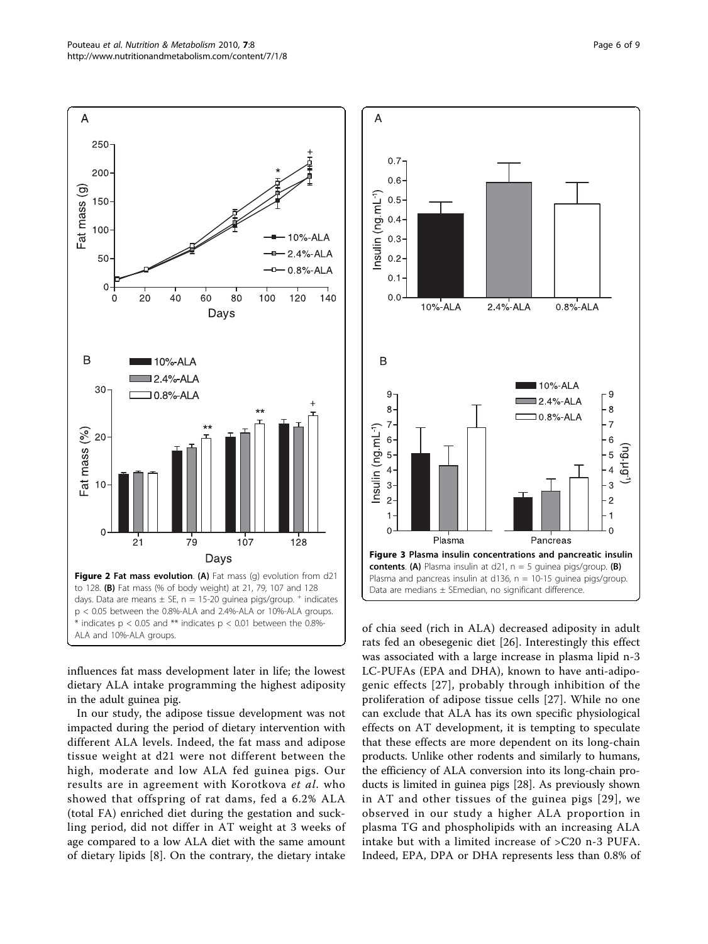influences fat mass development later in life; the lowest dietary ALA intake programming the highest adiposity

in the adult guinea pig.

In our study, the adipose tissue development was not impacted during the period of dietary intervention with different ALA levels. Indeed, the fat mass and adipose tissue weight at d21 were not different between the high, moderate and low ALA fed guinea pigs. Our results are in agreement with Korotkova et al. who showed that offspring of rat dams, fed a 6.2% ALA (total FA) enriched diet during the gestation and suckling period, did not differ in AT weight at 3 weeks of age compared to a low ALA diet with the same amount of dietary lipids [\[8](#page-7-0)]. On the contrary, the dietary intake

of chia seed (rich in ALA) decreased adiposity in adult rats fed an obesegenic diet [\[26](#page-8-0)]. Interestingly this effect was associated with a large increase in plasma lipid n-3 LC-PUFAs (EPA and DHA), known to have anti-adipogenic effects [\[27\]](#page-8-0), probably through inhibition of the proliferation of adipose tissue cells [[27](#page-8-0)]. While no one can exclude that ALA has its own specific physiological effects on AT development, it is tempting to speculate that these effects are more dependent on its long-chain products. Unlike other rodents and similarly to humans, the efficiency of ALA conversion into its long-chain products is limited in guinea pigs [\[28\]](#page-8-0). As previously shown in AT and other tissues of the guinea pigs [[29\]](#page-8-0), we observed in our study a higher ALA proportion in plasma TG and phospholipids with an increasing ALA intake but with a limited increase of >C20 n-3 PUFA. Indeed, EPA, DPA or DHA represents less than 0.8% of

<span id="page-5-0"></span> $\overline{A}$ 250 200 Fat mass (g) 150 100  $10%$ -ALA 2.4%-ALA 50 0.8%-ALA  $\overline{0}$ 20 40 60 80 100 120 140 Days B 10%-ALA  $2.4%$  ALA 30 10.8% ALA  $=$ at mass  $(%$ 20  $10$  $\Omega$  $\overline{21}$  $79$  $107$  $128$ Days Figure 2 Fat mass evolution. (A) Fat mass (q) evolution from d21 to 128. (B) Fat mass (% of body weight) at 21, 79, 107 and 128 days. Data are means  $\pm$  SE, n = 15-20 guinea pigs/group.  $^+$  indicates p < 0.05 between the 0.8%-ALA and 2.4%-ALA or 10%-ALA groups.  $*$  indicates  $p < 0.05$  and  $**$  indicates  $p < 0.01$  between the 0.8%-ALA and 10%-ALA groups.

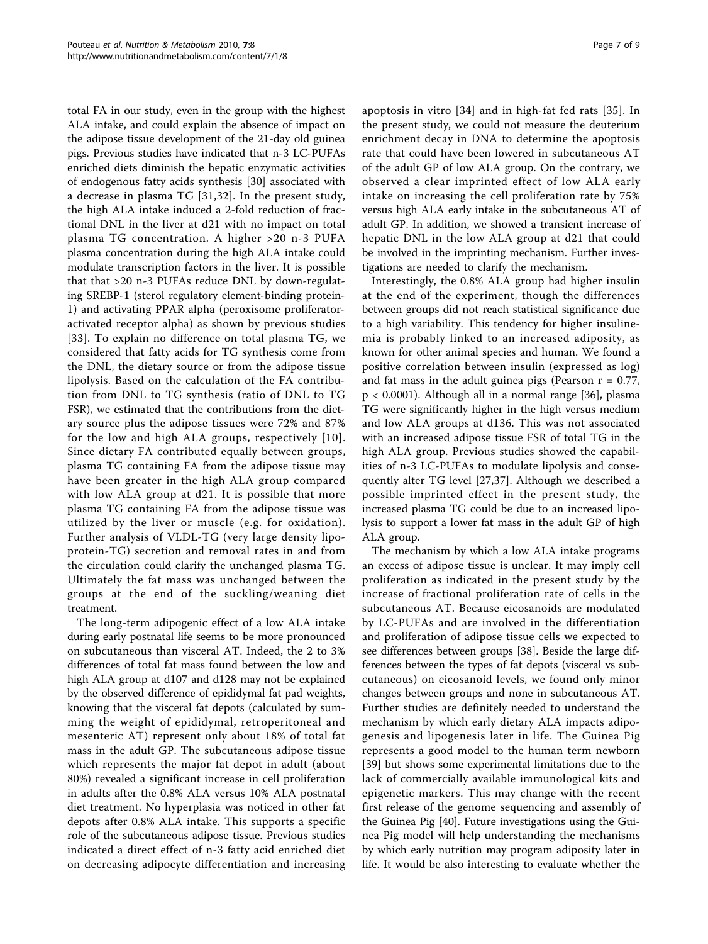total FA in our study, even in the group with the highest ALA intake, and could explain the absence of impact on the adipose tissue development of the 21-day old guinea pigs. Previous studies have indicated that n-3 LC-PUFAs enriched diets diminish the hepatic enzymatic activities of endogenous fatty acids synthesis [[30\]](#page-8-0) associated with a decrease in plasma TG [[31,32](#page-8-0)]. In the present study, the high ALA intake induced a 2-fold reduction of fractional DNL in the liver at d21 with no impact on total plasma TG concentration. A higher >20 n-3 PUFA plasma concentration during the high ALA intake could modulate transcription factors in the liver. It is possible that that >20 n-3 PUFAs reduce DNL by down-regulating SREBP-1 (sterol regulatory element-binding protein-1) and activating PPAR alpha (peroxisome proliferatoractivated receptor alpha) as shown by previous studies [[33](#page-8-0)]. To explain no difference on total plasma TG, we considered that fatty acids for TG synthesis come from the DNL, the dietary source or from the adipose tissue lipolysis. Based on the calculation of the FA contribution from DNL to TG synthesis (ratio of DNL to TG FSR), we estimated that the contributions from the dietary source plus the adipose tissues were 72% and 87% for the low and high ALA groups, respectively [[10\]](#page-7-0). Since dietary FA contributed equally between groups, plasma TG containing FA from the adipose tissue may have been greater in the high ALA group compared with low ALA group at d21. It is possible that more plasma TG containing FA from the adipose tissue was utilized by the liver or muscle (e.g. for oxidation). Further analysis of VLDL-TG (very large density lipoprotein-TG) secretion and removal rates in and from the circulation could clarify the unchanged plasma TG. Ultimately the fat mass was unchanged between the groups at the end of the suckling/weaning diet treatment.

The long-term adipogenic effect of a low ALA intake during early postnatal life seems to be more pronounced on subcutaneous than visceral AT. Indeed, the 2 to 3% differences of total fat mass found between the low and high ALA group at d107 and d128 may not be explained by the observed difference of epididymal fat pad weights, knowing that the visceral fat depots (calculated by summing the weight of epididymal, retroperitoneal and mesenteric AT) represent only about 18% of total fat mass in the adult GP. The subcutaneous adipose tissue which represents the major fat depot in adult (about 80%) revealed a significant increase in cell proliferation in adults after the 0.8% ALA versus 10% ALA postnatal diet treatment. No hyperplasia was noticed in other fat depots after 0.8% ALA intake. This supports a specific role of the subcutaneous adipose tissue. Previous studies indicated a direct effect of n-3 fatty acid enriched diet on decreasing adipocyte differentiation and increasing apoptosis in vitro [[34\]](#page-8-0) and in high-fat fed rats [\[35\]](#page-8-0). In the present study, we could not measure the deuterium enrichment decay in DNA to determine the apoptosis rate that could have been lowered in subcutaneous AT of the adult GP of low ALA group. On the contrary, we observed a clear imprinted effect of low ALA early intake on increasing the cell proliferation rate by 75% versus high ALA early intake in the subcutaneous AT of adult GP. In addition, we showed a transient increase of hepatic DNL in the low ALA group at d21 that could be involved in the imprinting mechanism. Further investigations are needed to clarify the mechanism.

Interestingly, the 0.8% ALA group had higher insulin at the end of the experiment, though the differences between groups did not reach statistical significance due to a high variability. This tendency for higher insulinemia is probably linked to an increased adiposity, as known for other animal species and human. We found a positive correlation between insulin (expressed as log) and fat mass in the adult guinea pigs (Pearson  $r = 0.77$ , p < 0.0001). Although all in a normal range [[36\]](#page-8-0), plasma TG were significantly higher in the high versus medium and low ALA groups at d136. This was not associated with an increased adipose tissue FSR of total TG in the high ALA group. Previous studies showed the capabilities of n-3 LC-PUFAs to modulate lipolysis and consequently alter TG level [[27](#page-8-0),[37\]](#page-8-0). Although we described a possible imprinted effect in the present study, the increased plasma TG could be due to an increased lipolysis to support a lower fat mass in the adult GP of high ALA group.

The mechanism by which a low ALA intake programs an excess of adipose tissue is unclear. It may imply cell proliferation as indicated in the present study by the increase of fractional proliferation rate of cells in the subcutaneous AT. Because eicosanoids are modulated by LC-PUFAs and are involved in the differentiation and proliferation of adipose tissue cells we expected to see differences between groups [\[38\]](#page-8-0). Beside the large differences between the types of fat depots (visceral vs subcutaneous) on eicosanoid levels, we found only minor changes between groups and none in subcutaneous AT. Further studies are definitely needed to understand the mechanism by which early dietary ALA impacts adipogenesis and lipogenesis later in life. The Guinea Pig represents a good model to the human term newborn [[39\]](#page-8-0) but shows some experimental limitations due to the lack of commercially available immunological kits and epigenetic markers. This may change with the recent first release of the genome sequencing and assembly of the Guinea Pig [\[40](#page-8-0)]. Future investigations using the Guinea Pig model will help understanding the mechanisms by which early nutrition may program adiposity later in life. It would be also interesting to evaluate whether the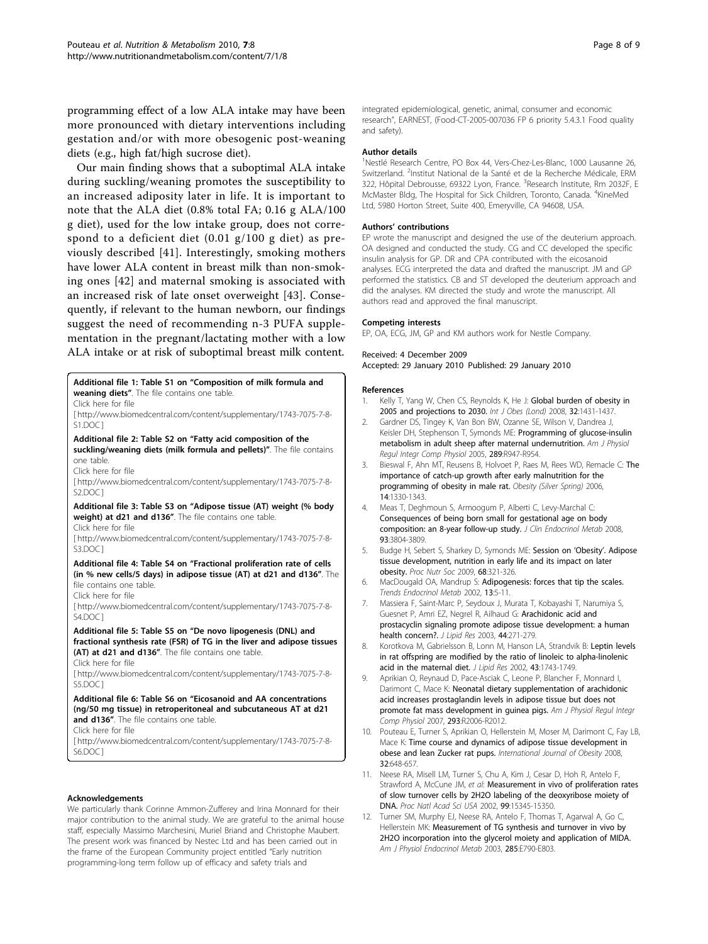<span id="page-7-0"></span>programming effect of a low ALA intake may have been more pronounced with dietary interventions including gestation and/or with more obesogenic post-weaning diets (e.g., high fat/high sucrose diet).

Our main finding shows that a suboptimal ALA intake during suckling/weaning promotes the susceptibility to an increased adiposity later in life. It is important to note that the ALA diet (0.8% total FA; 0.16 g ALA/100 g diet), used for the low intake group, does not correspond to a deficient diet (0.01 g/100 g diet) as previously described [\[41\]](#page-8-0). Interestingly, smoking mothers have lower ALA content in breast milk than non-smoking ones [\[42\]](#page-8-0) and maternal smoking is associated with an increased risk of late onset overweight [[43\]](#page-8-0). Consequently, if relevant to the human newborn, our findings suggest the need of recommending n-3 PUFA supplementation in the pregnant/lactating mother with a low ALA intake or at risk of suboptimal breast milk content.

#### Additional file 1: Table S1 on "Composition of milk formula and weaning diets". The file contains one table.

Click here for file

[ http://www.biomedcentral.com/content/supplementary/1743-7075-7-8- S1.DOC ]

Additional file 2: Table S2 on "Fatty acid composition of the suckling/weaning diets (milk formula and pellets)". The file contains one table.

Click here for file

[ http://www.biomedcentral.com/content/supplementary/1743-7075-7-8- S2.DOC ]

#### Additional file 3: Table S3 on "Adipose tissue (AT) weight (% body weight) at d21 and d136". The file contains one table.

Click here for file

[ http://www.biomedcentral.com/content/supplementary/1743-7075-7-8- S3.DOC1

#### Additional file 4: Table S4 on "Fractional proliferation rate of cells (in % new cells/5 days) in adipose tissue (AT) at d21 and d136". The file contains one table.

Click here for file

[ http://www.biomedcentral.com/content/supplementary/1743-7075-7-8- S4.DOC ]

Additional file 5: Table S5 on "De novo lipogenesis (DNL) and fractional synthesis rate (FSR) of TG in the liver and adipose tissues (AT) at d21 and d136". The file contains one table.

Click here for file

[ http://www.biomedcentral.com/content/supplementary/1743-7075-7-8- S5.DOC ]

#### Additional file 6: Table S6 on "Eicosanoid and AA concentrations (ng/50 mg tissue) in retroperitoneal and subcutaneous AT at d21 and d136". The file contains one table.

Click here for file

[ http://www.biomedcentral.com/content/supplementary/1743-7075-7-8- S6.DOC ]

#### Acknowledgements

We particularly thank Corinne Ammon-Zufferey and Irina Monnard for their major contribution to the animal study. We are grateful to the animal house staff, especially Massimo Marchesini, Muriel Briand and Christophe Maubert. The present work was financed by Nestec Ltd and has been carried out in the frame of the European Community project entitled "Early nutrition programming-long term follow up of efficacy and safety trials and

integrated epidemiological, genetic, animal, consumer and economic research", EARNEST, (Food-CT-2005-007036 FP 6 priority 5.4.3.1 Food quality and safety).

#### Author details

<sup>1</sup>Nestlé Research Centre, PO Box 44, Vers-Chez-Les-Blanc, 1000 Lausanne 26 Switzerland. <sup>2</sup>Institut National de la Santé et de la Recherche Médicale, ERM 322, Hôpital Debrousse, 69322 Lyon, France. <sup>3</sup>Research Institute, Rm 2032F, E McMaster Bldg, The Hospital for Sick Children, Toronto, Canada. <sup>4</sup>KineMed Ltd, 5980 Horton Street, Suite 400, Emeryville, CA 94608, USA.

#### Authors' contributions

EP wrote the manuscript and designed the use of the deuterium approach. OA designed and conducted the study. CG and CC developed the specific insulin analysis for GP. DR and CPA contributed with the eicosanoid analyses. ECG interpreted the data and drafted the manuscript. JM and GP performed the statistics. CB and ST developed the deuterium approach and did the analyses. KM directed the study and wrote the manuscript. All authors read and approved the final manuscript.

#### Competing interests

Received: 4 December 2009

EP, OA, ECG, JM, GP and KM authors work for Nestle Company.

Accepted: 29 January 2010 Published: 29 January 2010

### References

- Kelly T, Yang W, Chen CS, Reynolds K, He J: [Global burden of obesity in](http://www.ncbi.nlm.nih.gov/pubmed/18607383?dopt=Abstract) [2005 and projections to 2030.](http://www.ncbi.nlm.nih.gov/pubmed/18607383?dopt=Abstract) Int J Obes (Lond) 2008, 32:1431-1437.
- 2. Gardner DS, Tingey K, Van Bon BW, Ozanne SE, Wilson V, Dandrea J, Keisler DH, Stephenson T, Symonds ME: [Programming of glucose-insulin](http://www.ncbi.nlm.nih.gov/pubmed/15961536?dopt=Abstract) [metabolism in adult sheep after maternal undernutrition.](http://www.ncbi.nlm.nih.gov/pubmed/15961536?dopt=Abstract) Am J Physiol Regul Integr Comp Physiol 2005, 289:R947-R954.
- 3. Bieswal F, Ahn MT, Reusens B, Holvoet P, Raes M, Rees WD, Remacle C: [The](http://www.ncbi.nlm.nih.gov/pubmed/16988075?dopt=Abstract) [importance of catch-up growth after early malnutrition for the](http://www.ncbi.nlm.nih.gov/pubmed/16988075?dopt=Abstract) [programming of obesity in male rat.](http://www.ncbi.nlm.nih.gov/pubmed/16988075?dopt=Abstract) Obesity (Silver Spring) 2006, 14:1330-1343.
- 4. Meas T, Deghmoun S, Armoogum P, Alberti C, Levy-Marchal C: [Consequences of being born small for gestational age on body](http://www.ncbi.nlm.nih.gov/pubmed/18628518?dopt=Abstract) [composition: an 8-year follow-up study.](http://www.ncbi.nlm.nih.gov/pubmed/18628518?dopt=Abstract) J Clin Endocrinol Metab 2008, 93:3804-3809.
- 5. Budge H, Sebert S, Sharkey D, Symonds ME: [Session on](http://www.ncbi.nlm.nih.gov/pubmed/19490741?dopt=Abstract) 'Obesity'. Adipose [tissue development, nutrition in early life and its impact on later](http://www.ncbi.nlm.nih.gov/pubmed/19490741?dopt=Abstract) [obesity.](http://www.ncbi.nlm.nih.gov/pubmed/19490741?dopt=Abstract) Proc Nutr Soc 2009, 68:321-326.
- 6. MacDougald OA, Mandrup S: [Adipogenesis: forces that tip the scales.](http://www.ncbi.nlm.nih.gov/pubmed/11750856?dopt=Abstract) Trends Endocrinol Metab 2002, 13:5-11.
- 7. Massiera F, Saint-Marc P, Seydoux J, Murata T, Kobayashi T, Narumiya S, Guesnet P, Amri EZ, Negrel R, Ailhaud G: [Arachidonic acid and](http://www.ncbi.nlm.nih.gov/pubmed/12576509?dopt=Abstract) [prostacyclin signaling promote adipose tissue development: a human](http://www.ncbi.nlm.nih.gov/pubmed/12576509?dopt=Abstract) [health concern?.](http://www.ncbi.nlm.nih.gov/pubmed/12576509?dopt=Abstract) J Lipid Res 2003, 44:271-279.
- 8. Korotkova M, Gabrielsson B, Lonn M, Hanson LA, Strandvik B: [Leptin levels](http://www.ncbi.nlm.nih.gov/pubmed/12364559?dopt=Abstract) [in rat offspring are modified by the ratio of linoleic to alpha-linolenic](http://www.ncbi.nlm.nih.gov/pubmed/12364559?dopt=Abstract) [acid in the maternal diet.](http://www.ncbi.nlm.nih.gov/pubmed/12364559?dopt=Abstract) J Lipid Res 2002, 43:1743-1749.
- 9. Aprikian O, Reynaud D, Pace-Asciak C, Leone P, Blancher F, Monnard I, Darimont C, Mace K: [Neonatal dietary supplementation of arachidonic](http://www.ncbi.nlm.nih.gov/pubmed/17761509?dopt=Abstract) [acid increases prostaglandin levels in adipose tissue but does not](http://www.ncbi.nlm.nih.gov/pubmed/17761509?dopt=Abstract) [promote fat mass development in guinea pigs.](http://www.ncbi.nlm.nih.gov/pubmed/17761509?dopt=Abstract) Am J Physiol Regul Integr Comp Physiol 2007, 293:R2006-R2012.
- 10. Pouteau E, Turner S, Aprikian O, Hellerstein M, Moser M, Darimont C, Fay LB, Mace K: [Time course and dynamics of adipose tissue development in](http://www.ncbi.nlm.nih.gov/pubmed/18087263?dopt=Abstract) [obese and lean Zucker rat pups.](http://www.ncbi.nlm.nih.gov/pubmed/18087263?dopt=Abstract) International Journal of Obesity 2008, 32:648-657.
- 11. Neese RA, Misell LM, Turner S, Chu A, Kim J, Cesar D, Hoh R, Antelo F, Strawford A, McCune JM, et al: [Measurement in vivo of proliferation rates](http://www.ncbi.nlm.nih.gov/pubmed/12424339?dopt=Abstract) [of slow turnover cells by 2H2O labeling of the deoxyribose moiety of](http://www.ncbi.nlm.nih.gov/pubmed/12424339?dopt=Abstract) [DNA.](http://www.ncbi.nlm.nih.gov/pubmed/12424339?dopt=Abstract) Proc Natl Acad Sci USA 2002, 99:15345-15350.
- 12. Turner SM, Murphy EJ, Neese RA, Antelo F, Thomas T, Agarwal A, Go C, Hellerstein MK: [Measurement of TG synthesis and turnover in vivo by](http://www.ncbi.nlm.nih.gov/pubmed/12824084?dopt=Abstract) [2H2O incorporation into the glycerol moiety and application of MIDA.](http://www.ncbi.nlm.nih.gov/pubmed/12824084?dopt=Abstract) Am J Physiol Endocrinol Metab 2003, 285:E790-E803.